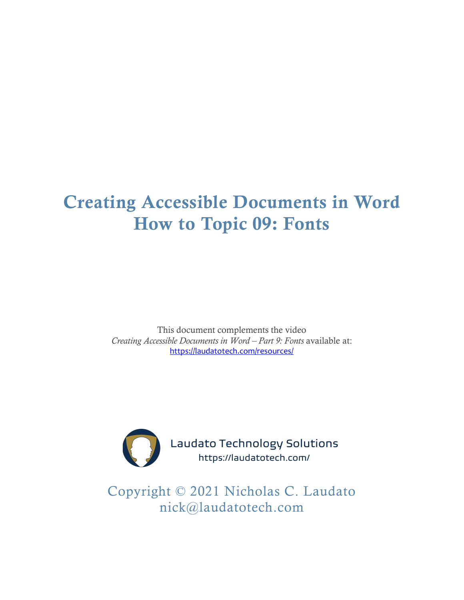# Creating Accessible Documents in Word How to Topic 09: Fonts

This document complements the video *Creating Accessible Documents in Word – Part 9: Fonts* available at: <https://laudatotech.com/resources/>



Laudato Technology Solutions https://laudatotech.com/

Copyright © 2021 Nicholas C. Laudato nick@laudatotech.com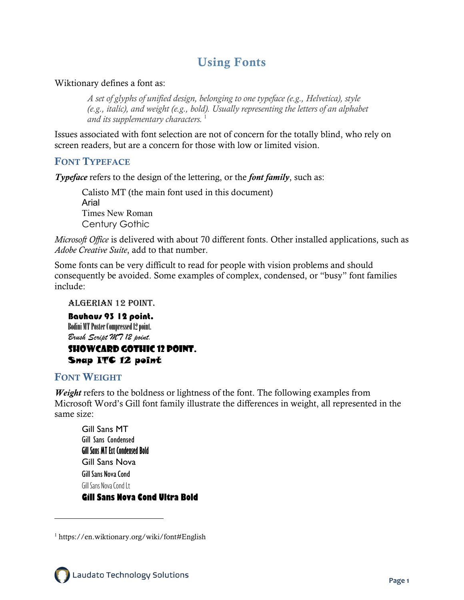# Using Fonts

Wiktionary defines a font as:

*A set of glyphs of unified design, belonging to one typeface (e.g., Helvetica), style (e.g., italic), and weight (e.g., bold). Usually representing the letters of an alphabet*  and its supplementary characters.<sup>[1](#page-1-0)</sup>

Issues associated with font selection are not of concern for the totally blind, who rely on screen readers, but are a concern for those with low or limited vision.

#### FONT TYPEFACE

*Typeface* refers to the design of the lettering, or the *font family*, such as:

Calisto MT (the main font used in this document) Arial Times New Roman Century Gothic

*Microsoft Office* is delivered with about 70 different fonts. Other installed applications, such as *Adobe Creative Suite*, add to that number.

Some fonts can be very difficult to read for people with vision problems and should consequently be avoided. Some examples of complex, condensed, or "busy" font families include:

#### Algerian 12 point.

Bauhaus 93 12 point. Bodini MT Poster Compressed 12 point. *Brush Script MT 12 point.*

#### Showcard Gothic 12 point. Snap ITC 12 point

#### FONT WEIGHT

*Weight* refers to the boldness or lightness of the font. The following examples from Microsoft Word's Gill font family illustrate the differences in weight, all represented in the same size:

Gill Sans MT Gill Sans Condensed **Gill Sans MT Ext Condensed Bold** Gill Sans Nova Gill Sans Nova Cond Gill Sans Nova Cond Lt **Gill Sans Nova Cond Ultra Bold**

<span id="page-1-0"></span><sup>1</sup> https://en.wiktionary.org/wiki/font#English

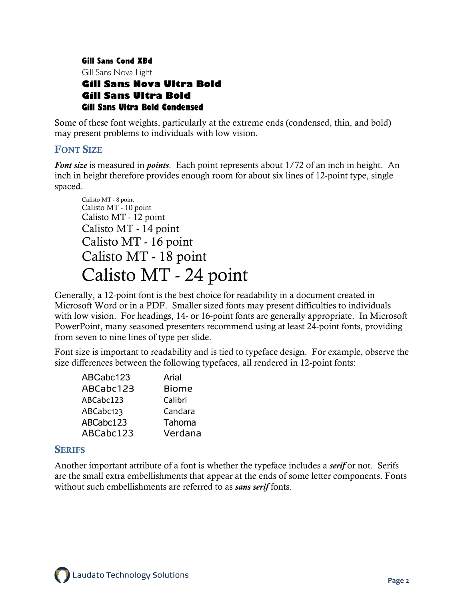Gill Sans Cond XBd Gill Sans Nova Light **Gill Sans Nova Ultra Bold Gill Sans Ultra Bold Gill Sans Ultra Bold Condensed**

Some of these font weights, particularly at the extreme ends (condensed, thin, and bold) may present problems to individuals with low vision.

## FONT SIZE

*Font size* is measured in *points*. Each point represents about 1/72 of an inch in height. An inch in height therefore provides enough room for about six lines of 12-point type, single spaced.

Calisto MT - 8 point Calisto MT - 10 point Calisto MT - 12 point Calisto MT - 14 point Calisto MT - 16 point Calisto MT - 18 point Calisto MT - 24 point

Generally, a 12-point font is the best choice for readability in a document created in Microsoft Word or in a PDF. Smaller sized fonts may present difficulties to individuals with low vision. For headings, 14- or 16-point fonts are generally appropriate. In Microsoft PowerPoint, many seasoned presenters recommend using at least 24-point fonts, providing from seven to nine lines of type per slide.

Font size is important to readability and is tied to typeface design. For example, observe the size differences between the following typefaces, all rendered in 12-point fonts:

| ABCabc123 | Arial        |
|-----------|--------------|
| ABCabc123 | <b>Biome</b> |
| ABCabc123 | Calibri      |
| ABCabc123 | Candara      |
| ABCabc123 | Tahoma       |
| ABCabc123 | Verdana      |

#### **SERIFS**

Another important attribute of a font is whether the typeface includes a *serif* or not. Serifs are the small extra embellishments that appear at the ends of some letter components. Fonts without such embellishments are referred to as *sans serif* fonts.

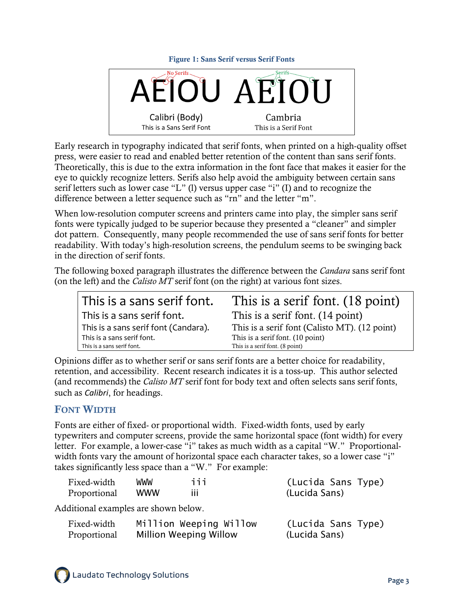



Early research in typography indicated that serif fonts, when printed on a high-quality offset press, were easier to read and enabled better retention of the content than sans serif fonts. Theoretically, this is due to the extra information in the font face that makes it easier for the eye to quickly recognize letters. Serifs also help avoid the ambiguity between certain sans serif letters such as lower case "L" (l) versus upper case "i" (I) and to recognize the difference between a letter sequence such as "rn" and the letter "m".

When low-resolution computer screens and printers came into play, the simpler sans serif fonts were typically judged to be superior because they presented a "cleaner" and simpler dot pattern. Consequently, many people recommended the use of sans serif fonts for better readability. With today's high-resolution screens, the pendulum seems to be swinging back in the direction of serif fonts.

The following boxed paragraph illustrates the difference between the *Candara* sans serif font (on the left) and the *Calisto MT* serif font (on the right) at various font sizes.

| This is a sans serif font.           | This is a serif font. (18 point)              |
|--------------------------------------|-----------------------------------------------|
| This is a sans serif font.           | This is a serif font. (14 point)              |
| This is a sans serif font (Candara). | This is a serif font (Calisto MT). (12 point) |
| This is a sans serif font.           | This is a serif font. (10 point)              |
| This is a sans serif font.           | This is a serif font. (8 point)               |

Opinions differ as to whether serif or sans serif fonts are a better choice for readability, retention, and accessibility. Recent research indicates it is a toss-up. This author selected (and recommends) the *Calisto MT* serif font for body text and often selects sans serif fonts, such as *Calibri*, for headings.

## FONT WIDTH

Fonts are either of fixed- or proportional width. Fixed-width fonts, used by early typewriters and computer screens, provide the same horizontal space (font width) for every letter. For example, a lower-case "i" takes as much width as a capital "W." Proportionalwidth fonts vary the amount of horizontal space each character takes, so a lower case "i" takes significantly less space than a "W." For example:

| Fixed-width                          | <b>WWW</b> | iii                           | (Lucida Sans Type) |
|--------------------------------------|------------|-------------------------------|--------------------|
| Proportional                         | <b>WWW</b> | Ш                             | (Lucida Sans)      |
| Additional examples are shown below. |            |                               |                    |
| Fixed-width                          |            | Million Weeping Willow        | (Lucida Sans Type) |
| Proportional                         |            | <b>Million Weeping Willow</b> | (Lucida Sans)      |